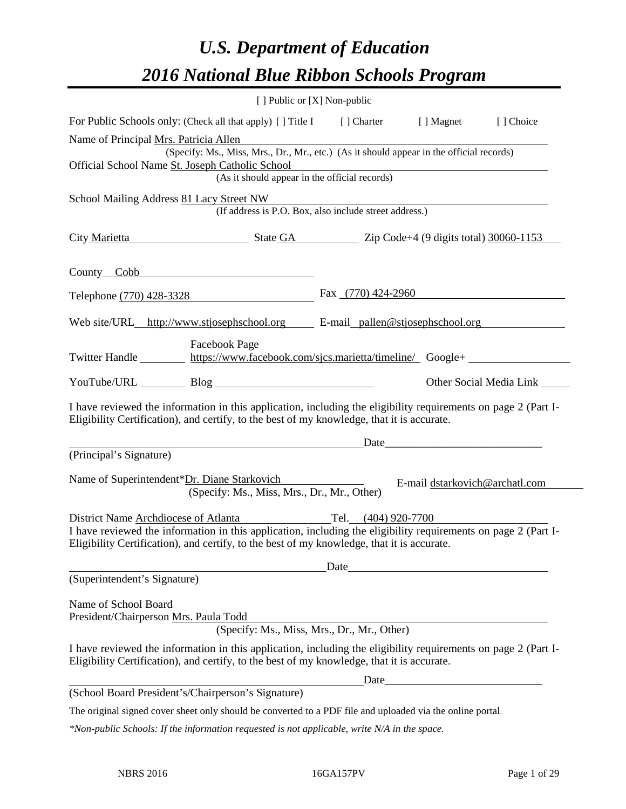# *U.S. Department of Education 2016 National Blue Ribbon Schools Program*

|                                                                                                                                                                                                              | [ ] Public or [X] Non-public                           |                                                                                                                       |                         |
|--------------------------------------------------------------------------------------------------------------------------------------------------------------------------------------------------------------|--------------------------------------------------------|-----------------------------------------------------------------------------------------------------------------------|-------------------------|
| For Public Schools only: (Check all that apply) [] Title I [] Charter [] Magnet                                                                                                                              |                                                        |                                                                                                                       | [ ] Choice              |
| Name of Principal Mrs. Patricia Allen<br>(Specify: Ms., Miss, Mrs., Dr., Mr., etc.) (As it should appear in the official records)                                                                            |                                                        |                                                                                                                       |                         |
| Official School Name St. Joseph Catholic School                                                                                                                                                              |                                                        |                                                                                                                       |                         |
|                                                                                                                                                                                                              | (As it should appear in the official records)          |                                                                                                                       |                         |
| School Mailing Address 81 Lacy Street NW                                                                                                                                                                     | (If address is P.O. Box, also include street address.) |                                                                                                                       |                         |
| City Marietta State GA Zip Code+4 (9 digits total) 30060-1153                                                                                                                                                |                                                        |                                                                                                                       |                         |
| County Cobb County Cobb                                                                                                                                                                                      |                                                        |                                                                                                                       |                         |
| Telephone (770) 428-3328                                                                                                                                                                                     | Fax $(770)$ 424-2960                                   |                                                                                                                       |                         |
| Web site/URL_http://www.stjosephschool.org E-mail_pallen@stjosephschool.org                                                                                                                                  |                                                        |                                                                                                                       |                         |
| <b>Facebook Page</b><br>Twitter Handle https://www.facebook.com/sjcs.marietta/timeline/Google+                                                                                                               |                                                        |                                                                                                                       |                         |
|                                                                                                                                                                                                              |                                                        |                                                                                                                       | Other Social Media Link |
| I have reviewed the information in this application, including the eligibility requirements on page 2 (Part I-<br>Eligibility Certification), and certify, to the best of my knowledge, that it is accurate. |                                                        |                                                                                                                       |                         |
|                                                                                                                                                                                                              |                                                        | Date                                                                                                                  |                         |
| (Principal's Signature)                                                                                                                                                                                      |                                                        |                                                                                                                       |                         |
| Name of Superintendent*Dr. Diane Starkovich<br>(Specify: Ms., Miss, Mrs., Dr., Mr., Other)                                                                                                                   |                                                        | E-mail dstarkovich@archatl.com                                                                                        |                         |
| District Name Archdiocese of Atlanta Tel. (404) 920-7700                                                                                                                                                     |                                                        |                                                                                                                       |                         |
| I have reviewed the information in this application, including the eligibility requirements on page 2 (Part I-<br>Eligibility Certification), and certify, to the best of my knowledge, that it is accurate. |                                                        |                                                                                                                       |                         |
|                                                                                                                                                                                                              | Date                                                   |                                                                                                                       |                         |
| (Superintendent's Signature)                                                                                                                                                                                 |                                                        |                                                                                                                       |                         |
| Name of School Board<br>President/Chairperson Mrs. Paula Todd                                                                                                                                                |                                                        |                                                                                                                       |                         |
|                                                                                                                                                                                                              | (Specify: Ms., Miss, Mrs., Dr., Mr., Other)            |                                                                                                                       |                         |
| I have reviewed the information in this application, including the eligibility requirements on page 2 (Part I-<br>Eligibility Certification), and certify, to the best of my knowledge, that it is accurate. |                                                        |                                                                                                                       |                         |
|                                                                                                                                                                                                              | Date                                                   | <u> 1989 - Johann Barn, mars ann an t-Amhain an t-Amhain an t-Amhain an t-Amhain an t-Amhain an t-Amhain an t-Amh</u> |                         |
| (School Board President's/Chairperson's Signature)                                                                                                                                                           |                                                        |                                                                                                                       |                         |
| The original signed cover sheet only should be converted to a PDF file and uploaded via the online portal.                                                                                                   |                                                        |                                                                                                                       |                         |
| *Non-public Schools: If the information requested is not applicable, write N/A in the space.                                                                                                                 |                                                        |                                                                                                                       |                         |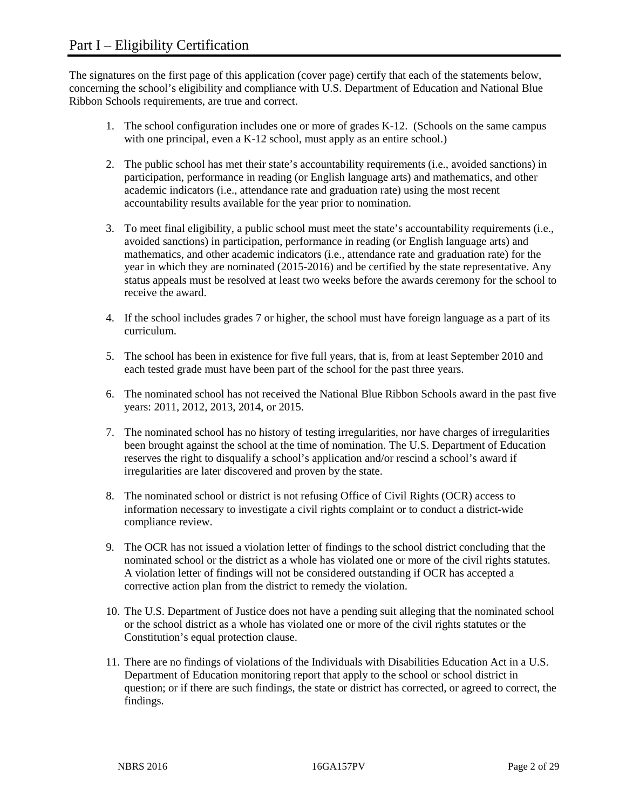The signatures on the first page of this application (cover page) certify that each of the statements below, concerning the school's eligibility and compliance with U.S. Department of Education and National Blue Ribbon Schools requirements, are true and correct.

- 1. The school configuration includes one or more of grades K-12. (Schools on the same campus with one principal, even a K-12 school, must apply as an entire school.)
- 2. The public school has met their state's accountability requirements (i.e., avoided sanctions) in participation, performance in reading (or English language arts) and mathematics, and other academic indicators (i.e., attendance rate and graduation rate) using the most recent accountability results available for the year prior to nomination.
- 3. To meet final eligibility, a public school must meet the state's accountability requirements (i.e., avoided sanctions) in participation, performance in reading (or English language arts) and mathematics, and other academic indicators (i.e., attendance rate and graduation rate) for the year in which they are nominated (2015-2016) and be certified by the state representative. Any status appeals must be resolved at least two weeks before the awards ceremony for the school to receive the award.
- 4. If the school includes grades 7 or higher, the school must have foreign language as a part of its curriculum.
- 5. The school has been in existence for five full years, that is, from at least September 2010 and each tested grade must have been part of the school for the past three years.
- 6. The nominated school has not received the National Blue Ribbon Schools award in the past five years: 2011, 2012, 2013, 2014, or 2015.
- 7. The nominated school has no history of testing irregularities, nor have charges of irregularities been brought against the school at the time of nomination. The U.S. Department of Education reserves the right to disqualify a school's application and/or rescind a school's award if irregularities are later discovered and proven by the state.
- 8. The nominated school or district is not refusing Office of Civil Rights (OCR) access to information necessary to investigate a civil rights complaint or to conduct a district-wide compliance review.
- 9. The OCR has not issued a violation letter of findings to the school district concluding that the nominated school or the district as a whole has violated one or more of the civil rights statutes. A violation letter of findings will not be considered outstanding if OCR has accepted a corrective action plan from the district to remedy the violation.
- 10. The U.S. Department of Justice does not have a pending suit alleging that the nominated school or the school district as a whole has violated one or more of the civil rights statutes or the Constitution's equal protection clause.
- 11. There are no findings of violations of the Individuals with Disabilities Education Act in a U.S. Department of Education monitoring report that apply to the school or school district in question; or if there are such findings, the state or district has corrected, or agreed to correct, the findings.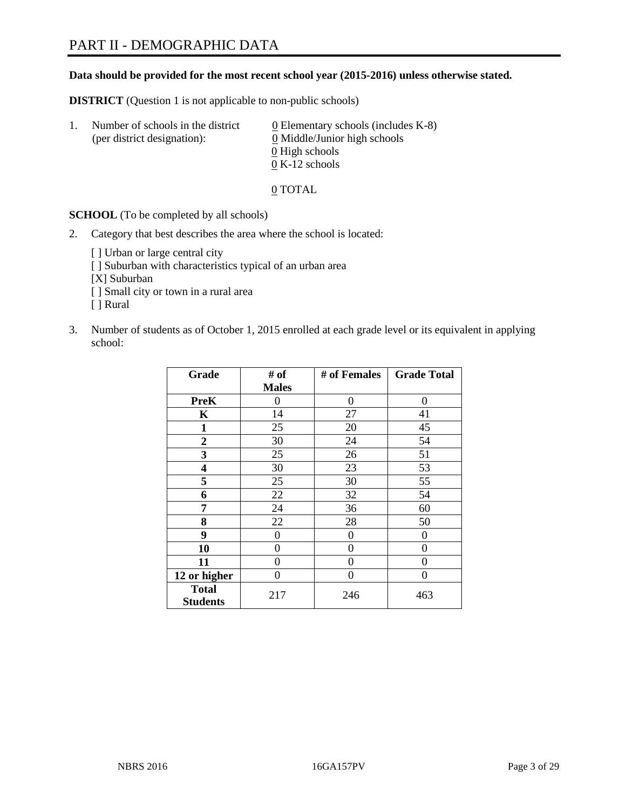#### **Data should be provided for the most recent school year (2015-2016) unless otherwise stated.**

**DISTRICT** (Question 1 is not applicable to non-public schools)

| Ι. | Number of schools in the district<br>(per district designation): | $\underline{0}$ Elementary schools (includes K-8)<br>0 Middle/Junior high schools |
|----|------------------------------------------------------------------|-----------------------------------------------------------------------------------|
|    |                                                                  | 0 High schools                                                                    |
|    |                                                                  | $0 K-12$ schools                                                                  |

0 TOTAL

**SCHOOL** (To be completed by all schools)

- 2. Category that best describes the area where the school is located:
	- [] Urban or large central city [ ] Suburban with characteristics typical of an urban area [X] Suburban [ ] Small city or town in a rural area [ ] Rural
- 3. Number of students as of October 1, 2015 enrolled at each grade level or its equivalent in applying school:

| Grade                           | # of         | # of Females | <b>Grade Total</b> |
|---------------------------------|--------------|--------------|--------------------|
|                                 | <b>Males</b> |              |                    |
| <b>PreK</b>                     | 0            | 0            | 0                  |
| K                               | 14           | 27           | 41                 |
| 1                               | 25           | 20           | 45                 |
| $\overline{2}$                  | 30           | 24           | 54                 |
| 3                               | 25           | 26           | 51                 |
| 4                               | 30           | 23           | 53                 |
| 5                               | 25           | 30           | 55                 |
| 6                               | 22           | 32           | 54                 |
| 7                               | 24           | 36           | 60                 |
| 8                               | 22           | 28           | 50                 |
| 9                               | 0            | 0            | 0                  |
| 10                              | 0            | 0            | 0                  |
| 11                              | $\theta$     | 0            | $\theta$           |
| 12 or higher                    | $\theta$     | 0            | 0                  |
| <b>Total</b><br><b>Students</b> | 217          | 246          | 463                |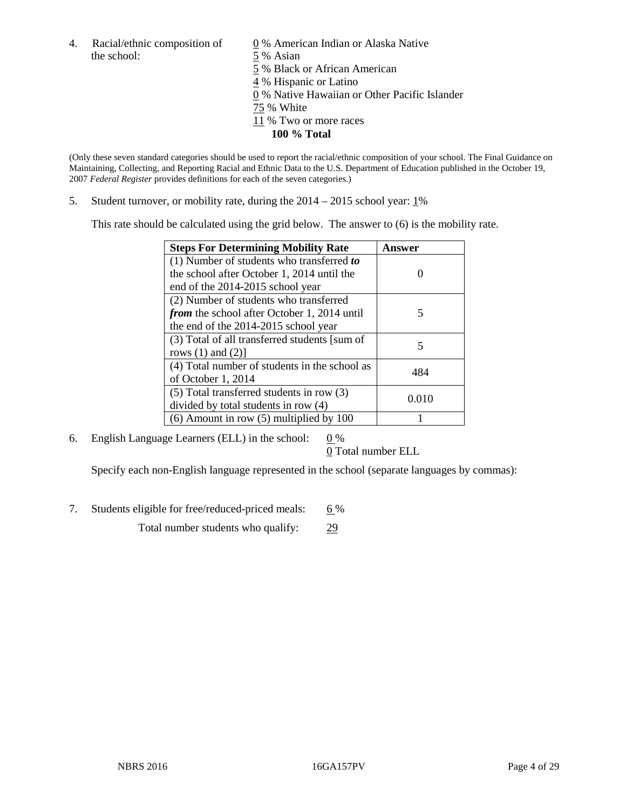4. Racial/ethnic composition of  $\qquad 0\%$  American Indian or Alaska Native the school: 5 % Asian

 % Black or African American % Hispanic or Latino % Native Hawaiian or Other Pacific Islander 75 % White % Two or more races **100 % Total**

(Only these seven standard categories should be used to report the racial/ethnic composition of your school. The Final Guidance on Maintaining, Collecting, and Reporting Racial and Ethnic Data to the U.S. Department of Education published in the October 19, 2007 *Federal Register* provides definitions for each of the seven categories.)

5. Student turnover, or mobility rate, during the  $2014 - 2015$  school year:  $1\%$ 

This rate should be calculated using the grid below. The answer to (6) is the mobility rate.

| <b>Steps For Determining Mobility Rate</b>         | <b>Answer</b> |
|----------------------------------------------------|---------------|
| (1) Number of students who transferred to          |               |
| the school after October 1, 2014 until the         |               |
| end of the 2014-2015 school year                   |               |
| (2) Number of students who transferred             |               |
| <i>from</i> the school after October 1, 2014 until | 5             |
| the end of the 2014-2015 school year               |               |
| (3) Total of all transferred students [sum of      | 5             |
| rows $(1)$ and $(2)$ ]                             |               |
| (4) Total number of students in the school as      | 484           |
| of October 1, 2014                                 |               |
| $(5)$ Total transferred students in row $(3)$      |               |
| divided by total students in row (4)               | 0.010         |
| $(6)$ Amount in row $(5)$ multiplied by 100        |               |

6. English Language Learners (ELL) in the school:  $0\%$ 

0 Total number ELL

Specify each non-English language represented in the school (separate languages by commas):

7. Students eligible for free/reduced-priced meals: 6%

Total number students who qualify: 29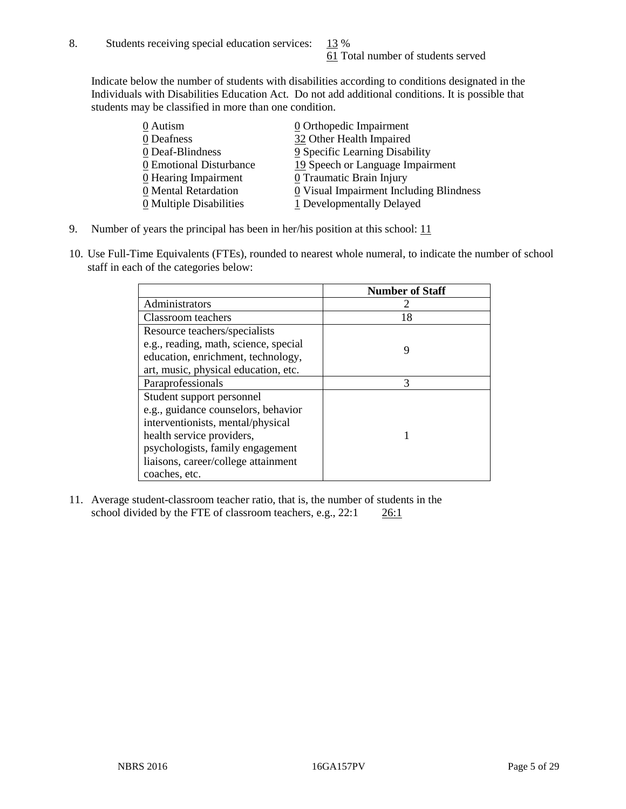Indicate below the number of students with disabilities according to conditions designated in the Individuals with Disabilities Education Act. Do not add additional conditions. It is possible that students may be classified in more than one condition.

| 0 Autism                              | $\underline{0}$ Orthopedic Impairment   |
|---------------------------------------|-----------------------------------------|
| 0 Deafness                            | 32 Other Health Impaired                |
| 0 Deaf-Blindness                      | 9 Specific Learning Disability          |
| 0 Emotional Disturbance               | 19 Speech or Language Impairment        |
| 0 Hearing Impairment                  | 0 Traumatic Brain Injury                |
| 0 Mental Retardation                  | 0 Visual Impairment Including Blindness |
| $\underline{0}$ Multiple Disabilities | 1 Developmentally Delayed               |

- 9. Number of years the principal has been in her/his position at this school:  $11$
- 10. Use Full-Time Equivalents (FTEs), rounded to nearest whole numeral, to indicate the number of school staff in each of the categories below:

|                                       | <b>Number of Staff</b> |
|---------------------------------------|------------------------|
| Administrators                        |                        |
| Classroom teachers                    | 18                     |
| Resource teachers/specialists         |                        |
| e.g., reading, math, science, special |                        |
| education, enrichment, technology,    |                        |
| art, music, physical education, etc.  |                        |
| Paraprofessionals                     | 3                      |
| Student support personnel             |                        |
| e.g., guidance counselors, behavior   |                        |
| interventionists, mental/physical     |                        |
| health service providers,             |                        |
| psychologists, family engagement      |                        |
| liaisons, career/college attainment   |                        |
| coaches, etc.                         |                        |

11. Average student-classroom teacher ratio, that is, the number of students in the school divided by the FTE of classroom teachers, e.g.,  $22:1$   $26:1$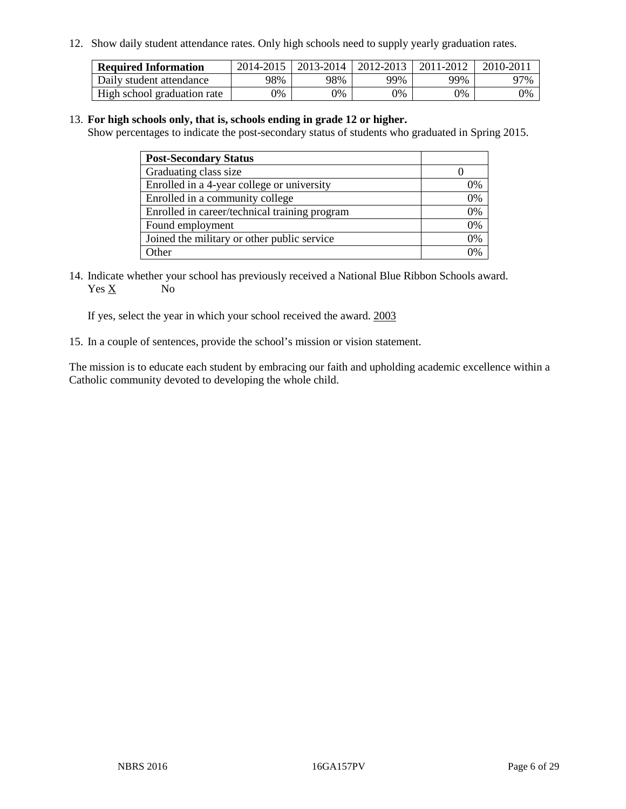12. Show daily student attendance rates. Only high schools need to supply yearly graduation rates.

| <b>Required Information</b> | 2014-2015 | 2013-2014   2012-2013 |       | 2011-2012 | 2010-2011 |
|-----------------------------|-----------|-----------------------|-------|-----------|-----------|
| Daily student attendance    | 98%       | 98%                   | 99%   | 99%       | 97%       |
| High school graduation rate | 0%        | 0%                    | $0\%$ | 9%        | 0%        |

#### 13. **For high schools only, that is, schools ending in grade 12 or higher.**

Show percentages to indicate the post-secondary status of students who graduated in Spring 2015.

| <b>Post-Secondary Status</b>                  |    |
|-----------------------------------------------|----|
| Graduating class size                         |    |
| Enrolled in a 4-year college or university    | 0% |
| Enrolled in a community college               | 0% |
| Enrolled in career/technical training program | 0% |
| Found employment                              | 0% |
| Joined the military or other public service   | 0% |
| Other                                         |    |

14. Indicate whether your school has previously received a National Blue Ribbon Schools award. Yes X No

If yes, select the year in which your school received the award. 2003

15. In a couple of sentences, provide the school's mission or vision statement.

The mission is to educate each student by embracing our faith and upholding academic excellence within a Catholic community devoted to developing the whole child.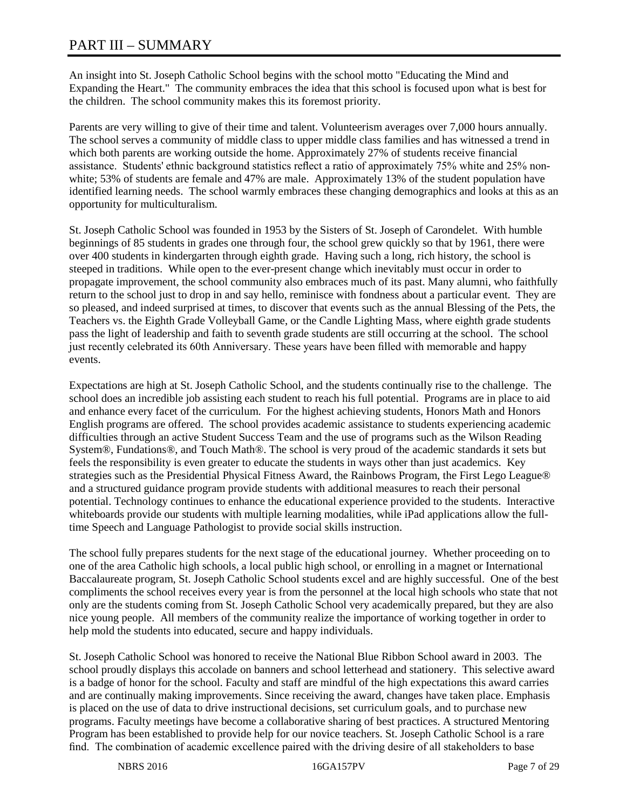# PART III – SUMMARY

An insight into St. Joseph Catholic School begins with the school motto "Educating the Mind and Expanding the Heart." The community embraces the idea that this school is focused upon what is best for the children. The school community makes this its foremost priority.

Parents are very willing to give of their time and talent. Volunteerism averages over 7,000 hours annually. The school serves a community of middle class to upper middle class families and has witnessed a trend in which both parents are working outside the home. Approximately 27% of students receive financial assistance. Students' ethnic background statistics reflect a ratio of approximately 75% white and 25% nonwhite; 53% of students are female and 47% are male. Approximately 13% of the student population have identified learning needs. The school warmly embraces these changing demographics and looks at this as an opportunity for multiculturalism.

St. Joseph Catholic School was founded in 1953 by the Sisters of St. Joseph of Carondelet. With humble beginnings of 85 students in grades one through four, the school grew quickly so that by 1961, there were over 400 students in kindergarten through eighth grade. Having such a long, rich history, the school is steeped in traditions. While open to the ever-present change which inevitably must occur in order to propagate improvement, the school community also embraces much of its past. Many alumni, who faithfully return to the school just to drop in and say hello, reminisce with fondness about a particular event. They are so pleased, and indeed surprised at times, to discover that events such as the annual Blessing of the Pets, the Teachers vs. the Eighth Grade Volleyball Game, or the Candle Lighting Mass, where eighth grade students pass the light of leadership and faith to seventh grade students are still occurring at the school. The school just recently celebrated its 60th Anniversary. These years have been filled with memorable and happy events.

Expectations are high at St. Joseph Catholic School, and the students continually rise to the challenge. The school does an incredible job assisting each student to reach his full potential. Programs are in place to aid and enhance every facet of the curriculum. For the highest achieving students, Honors Math and Honors English programs are offered. The school provides academic assistance to students experiencing academic difficulties through an active Student Success Team and the use of programs such as the Wilson Reading System®, Fundations®, and Touch Math®. The school is very proud of the academic standards it sets but feels the responsibility is even greater to educate the students in ways other than just academics. Key strategies such as the Presidential Physical Fitness Award, the Rainbows Program, the First Lego League® and a structured guidance program provide students with additional measures to reach their personal potential. Technology continues to enhance the educational experience provided to the students. Interactive whiteboards provide our students with multiple learning modalities, while iPad applications allow the fulltime Speech and Language Pathologist to provide social skills instruction.

The school fully prepares students for the next stage of the educational journey. Whether proceeding on to one of the area Catholic high schools, a local public high school, or enrolling in a magnet or International Baccalaureate program, St. Joseph Catholic School students excel and are highly successful. One of the best compliments the school receives every year is from the personnel at the local high schools who state that not only are the students coming from St. Joseph Catholic School very academically prepared, but they are also nice young people. All members of the community realize the importance of working together in order to help mold the students into educated, secure and happy individuals.

St. Joseph Catholic School was honored to receive the National Blue Ribbon School award in 2003. The school proudly displays this accolade on banners and school letterhead and stationery. This selective award is a badge of honor for the school. Faculty and staff are mindful of the high expectations this award carries and are continually making improvements. Since receiving the award, changes have taken place. Emphasis is placed on the use of data to drive instructional decisions, set curriculum goals, and to purchase new programs. Faculty meetings have become a collaborative sharing of best practices. A structured Mentoring Program has been established to provide help for our novice teachers. St. Joseph Catholic School is a rare find. The combination of academic excellence paired with the driving desire of all stakeholders to base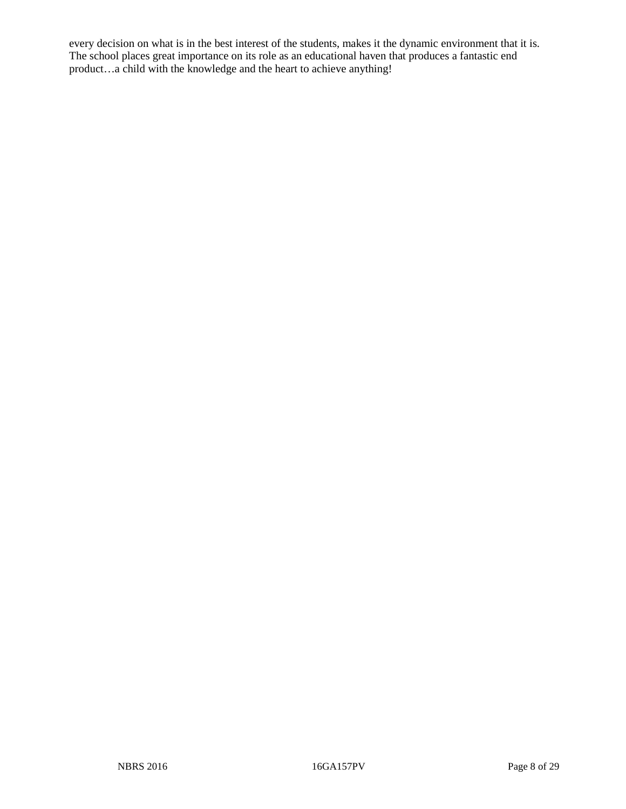every decision on what is in the best interest of the students, makes it the dynamic environment that it is. The school places great importance on its role as an educational haven that produces a fantastic end product…a child with the knowledge and the heart to achieve anything!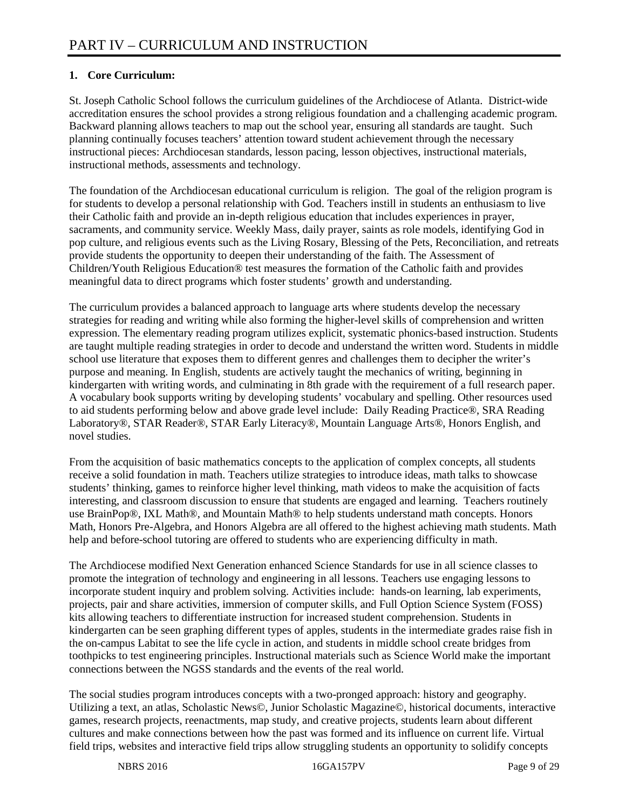## **1. Core Curriculum:**

St. Joseph Catholic School follows the curriculum guidelines of the Archdiocese of Atlanta. District-wide accreditation ensures the school provides a strong religious foundation and a challenging academic program. Backward planning allows teachers to map out the school year, ensuring all standards are taught. Such planning continually focuses teachers' attention toward student achievement through the necessary instructional pieces: Archdiocesan standards, lesson pacing, lesson objectives, instructional materials, instructional methods, assessments and technology.

The foundation of the Archdiocesan educational curriculum is religion. The goal of the religion program is for students to develop a personal relationship with God. Teachers instill in students an enthusiasm to live their Catholic faith and provide an in-depth religious education that includes experiences in prayer, sacraments, and community service. Weekly Mass, daily prayer, saints as role models, identifying God in pop culture, and religious events such as the Living Rosary, Blessing of the Pets, Reconciliation, and retreats provide students the opportunity to deepen their understanding of the faith. The Assessment of Children/Youth Religious Education® test measures the formation of the Catholic faith and provides meaningful data to direct programs which foster students' growth and understanding.

The curriculum provides a balanced approach to language arts where students develop the necessary strategies for reading and writing while also forming the higher-level skills of comprehension and written expression. The elementary reading program utilizes explicit, systematic phonics-based instruction. Students are taught multiple reading strategies in order to decode and understand the written word. Students in middle school use literature that exposes them to different genres and challenges them to decipher the writer's purpose and meaning. In English, students are actively taught the mechanics of writing, beginning in kindergarten with writing words, and culminating in 8th grade with the requirement of a full research paper. A vocabulary book supports writing by developing students' vocabulary and spelling. Other resources used to aid students performing below and above grade level include: Daily Reading Practice®, SRA Reading Laboratory®, STAR Reader®, STAR Early Literacy®, Mountain Language Arts®, Honors English, and novel studies.

From the acquisition of basic mathematics concepts to the application of complex concepts, all students receive a solid foundation in math. Teachers utilize strategies to introduce ideas, math talks to showcase students' thinking, games to reinforce higher level thinking, math videos to make the acquisition of facts interesting, and classroom discussion to ensure that students are engaged and learning. Teachers routinely use BrainPop®, IXL Math®, and Mountain Math® to help students understand math concepts. Honors Math, Honors Pre-Algebra, and Honors Algebra are all offered to the highest achieving math students. Math help and before-school tutoring are offered to students who are experiencing difficulty in math.

The Archdiocese modified Next Generation enhanced Science Standards for use in all science classes to promote the integration of technology and engineering in all lessons. Teachers use engaging lessons to incorporate student inquiry and problem solving. Activities include: hands-on learning, lab experiments, projects, pair and share activities, immersion of computer skills, and Full Option Science System (FOSS) kits allowing teachers to differentiate instruction for increased student comprehension. Students in kindergarten can be seen graphing different types of apples, students in the intermediate grades raise fish in the on-campus Labitat to see the life cycle in action, and students in middle school create bridges from toothpicks to test engineering principles. Instructional materials such as Science World make the important connections between the NGSS standards and the events of the real world.

The social studies program introduces concepts with a two-pronged approach: history and geography. Utilizing a text, an atlas, Scholastic News©, Junior Scholastic Magazine©, historical documents, interactive games, research projects, reenactments, map study, and creative projects, students learn about different cultures and make connections between how the past was formed and its influence on current life. Virtual field trips, websites and interactive field trips allow struggling students an opportunity to solidify concepts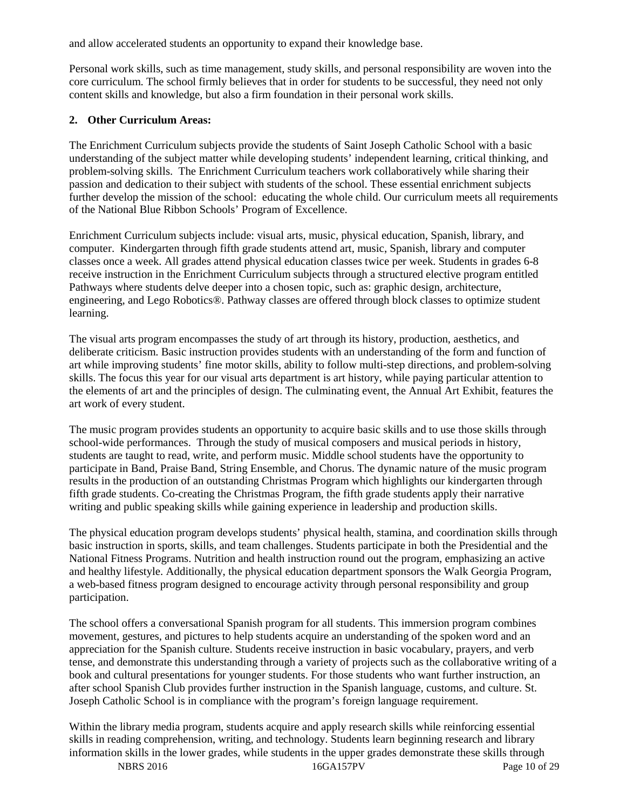and allow accelerated students an opportunity to expand their knowledge base.

Personal work skills, such as time management, study skills, and personal responsibility are woven into the core curriculum. The school firmly believes that in order for students to be successful, they need not only content skills and knowledge, but also a firm foundation in their personal work skills.

#### **2. Other Curriculum Areas:**

The Enrichment Curriculum subjects provide the students of Saint Joseph Catholic School with a basic understanding of the subject matter while developing students' independent learning, critical thinking, and problem-solving skills. The Enrichment Curriculum teachers work collaboratively while sharing their passion and dedication to their subject with students of the school. These essential enrichment subjects further develop the mission of the school: educating the whole child. Our curriculum meets all requirements of the National Blue Ribbon Schools' Program of Excellence.

Enrichment Curriculum subjects include: visual arts, music, physical education, Spanish, library, and computer. Kindergarten through fifth grade students attend art, music, Spanish, library and computer classes once a week. All grades attend physical education classes twice per week. Students in grades 6-8 receive instruction in the Enrichment Curriculum subjects through a structured elective program entitled Pathways where students delve deeper into a chosen topic, such as: graphic design, architecture, engineering, and Lego Robotics®. Pathway classes are offered through block classes to optimize student learning.

The visual arts program encompasses the study of art through its history, production, aesthetics, and deliberate criticism. Basic instruction provides students with an understanding of the form and function of art while improving students' fine motor skills, ability to follow multi-step directions, and problem-solving skills. The focus this year for our visual arts department is art history, while paying particular attention to the elements of art and the principles of design. The culminating event, the Annual Art Exhibit, features the art work of every student.

The music program provides students an opportunity to acquire basic skills and to use those skills through school-wide performances. Through the study of musical composers and musical periods in history, students are taught to read, write, and perform music. Middle school students have the opportunity to participate in Band, Praise Band, String Ensemble, and Chorus. The dynamic nature of the music program results in the production of an outstanding Christmas Program which highlights our kindergarten through fifth grade students. Co-creating the Christmas Program, the fifth grade students apply their narrative writing and public speaking skills while gaining experience in leadership and production skills.

The physical education program develops students' physical health, stamina, and coordination skills through basic instruction in sports, skills, and team challenges. Students participate in both the Presidential and the National Fitness Programs. Nutrition and health instruction round out the program, emphasizing an active and healthy lifestyle. Additionally, the physical education department sponsors the Walk Georgia Program, a web-based fitness program designed to encourage activity through personal responsibility and group participation.

The school offers a conversational Spanish program for all students. This immersion program combines movement, gestures, and pictures to help students acquire an understanding of the spoken word and an appreciation for the Spanish culture. Students receive instruction in basic vocabulary, prayers, and verb tense, and demonstrate this understanding through a variety of projects such as the collaborative writing of a book and cultural presentations for younger students. For those students who want further instruction, an after school Spanish Club provides further instruction in the Spanish language, customs, and culture. St. Joseph Catholic School is in compliance with the program's foreign language requirement.

Within the library media program, students acquire and apply research skills while reinforcing essential skills in reading comprehension, writing, and technology. Students learn beginning research and library information skills in the lower grades, while students in the upper grades demonstrate these skills through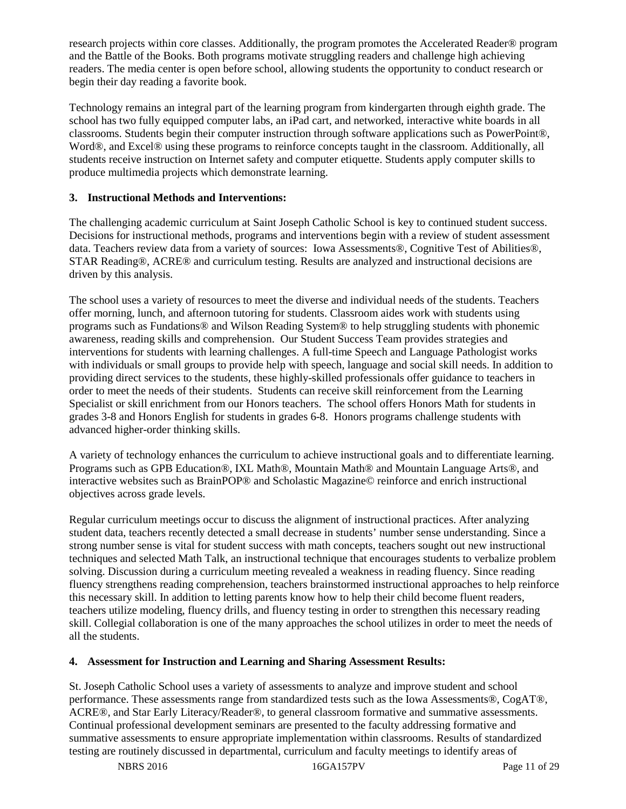research projects within core classes. Additionally, the program promotes the Accelerated Reader® program and the Battle of the Books. Both programs motivate struggling readers and challenge high achieving readers. The media center is open before school, allowing students the opportunity to conduct research or begin their day reading a favorite book.

Technology remains an integral part of the learning program from kindergarten through eighth grade. The school has two fully equipped computer labs, an iPad cart, and networked, interactive white boards in all classrooms. Students begin their computer instruction through software applications such as PowerPoint®, Word®, and Excel® using these programs to reinforce concepts taught in the classroom. Additionally, all students receive instruction on Internet safety and computer etiquette. Students apply computer skills to produce multimedia projects which demonstrate learning.

#### **3. Instructional Methods and Interventions:**

The challenging academic curriculum at Saint Joseph Catholic School is key to continued student success. Decisions for instructional methods, programs and interventions begin with a review of student assessment data. Teachers review data from a variety of sources: Iowa Assessments®, Cognitive Test of Abilities®, STAR Reading®, ACRE® and curriculum testing. Results are analyzed and instructional decisions are driven by this analysis.

The school uses a variety of resources to meet the diverse and individual needs of the students. Teachers offer morning, lunch, and afternoon tutoring for students. Classroom aides work with students using programs such as Fundations® and Wilson Reading System® to help struggling students with phonemic awareness, reading skills and comprehension. Our Student Success Team provides strategies and interventions for students with learning challenges. A full-time Speech and Language Pathologist works with individuals or small groups to provide help with speech, language and social skill needs. In addition to providing direct services to the students, these highly-skilled professionals offer guidance to teachers in order to meet the needs of their students. Students can receive skill reinforcement from the Learning Specialist or skill enrichment from our Honors teachers. The school offers Honors Math for students in grades 3-8 and Honors English for students in grades 6-8. Honors programs challenge students with advanced higher-order thinking skills.

A variety of technology enhances the curriculum to achieve instructional goals and to differentiate learning. Programs such as GPB Education®, IXL Math®, Mountain Math® and Mountain Language Arts®, and interactive websites such as BrainPOP® and Scholastic Magazine© reinforce and enrich instructional objectives across grade levels.

Regular curriculum meetings occur to discuss the alignment of instructional practices. After analyzing student data, teachers recently detected a small decrease in students' number sense understanding. Since a strong number sense is vital for student success with math concepts, teachers sought out new instructional techniques and selected Math Talk, an instructional technique that encourages students to verbalize problem solving. Discussion during a curriculum meeting revealed a weakness in reading fluency. Since reading fluency strengthens reading comprehension, teachers brainstormed instructional approaches to help reinforce this necessary skill. In addition to letting parents know how to help their child become fluent readers, teachers utilize modeling, fluency drills, and fluency testing in order to strengthen this necessary reading skill. Collegial collaboration is one of the many approaches the school utilizes in order to meet the needs of all the students.

#### **4. Assessment for Instruction and Learning and Sharing Assessment Results:**

St. Joseph Catholic School uses a variety of assessments to analyze and improve student and school performance. These assessments range from standardized tests such as the Iowa Assessments®, CogAT®, ACRE®, and Star Early Literacy/Reader®, to general classroom formative and summative assessments. Continual professional development seminars are presented to the faculty addressing formative and summative assessments to ensure appropriate implementation within classrooms. Results of standardized testing are routinely discussed in departmental, curriculum and faculty meetings to identify areas of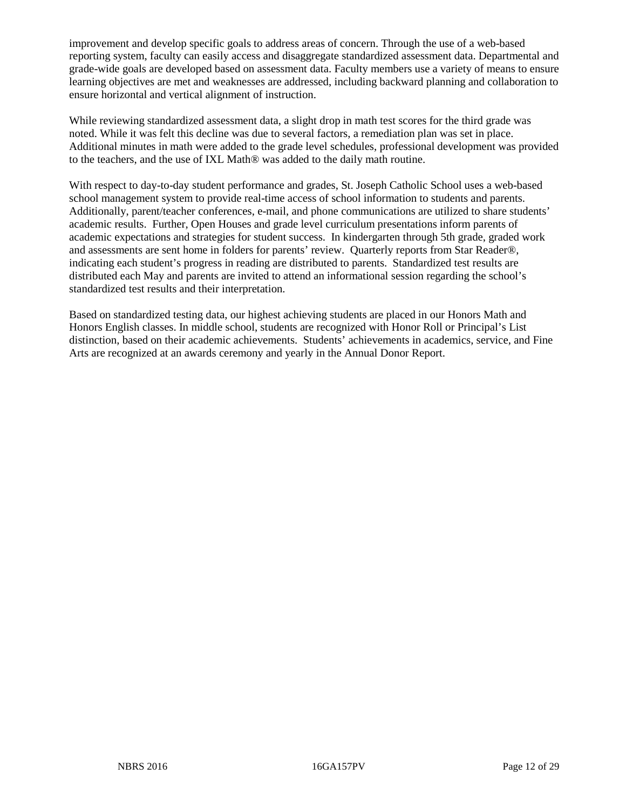improvement and develop specific goals to address areas of concern. Through the use of a web-based reporting system, faculty can easily access and disaggregate standardized assessment data. Departmental and grade-wide goals are developed based on assessment data. Faculty members use a variety of means to ensure learning objectives are met and weaknesses are addressed, including backward planning and collaboration to ensure horizontal and vertical alignment of instruction.

While reviewing standardized assessment data, a slight drop in math test scores for the third grade was noted. While it was felt this decline was due to several factors, a remediation plan was set in place. Additional minutes in math were added to the grade level schedules, professional development was provided to the teachers, and the use of IXL Math® was added to the daily math routine.

With respect to day-to-day student performance and grades, St. Joseph Catholic School uses a web-based school management system to provide real-time access of school information to students and parents. Additionally, parent/teacher conferences, e-mail, and phone communications are utilized to share students' academic results. Further, Open Houses and grade level curriculum presentations inform parents of academic expectations and strategies for student success. In kindergarten through 5th grade, graded work and assessments are sent home in folders for parents' review. Quarterly reports from Star Reader®, indicating each student's progress in reading are distributed to parents. Standardized test results are distributed each May and parents are invited to attend an informational session regarding the school's standardized test results and their interpretation.

Based on standardized testing data, our highest achieving students are placed in our Honors Math and Honors English classes. In middle school, students are recognized with Honor Roll or Principal's List distinction, based on their academic achievements. Students' achievements in academics, service, and Fine Arts are recognized at an awards ceremony and yearly in the Annual Donor Report.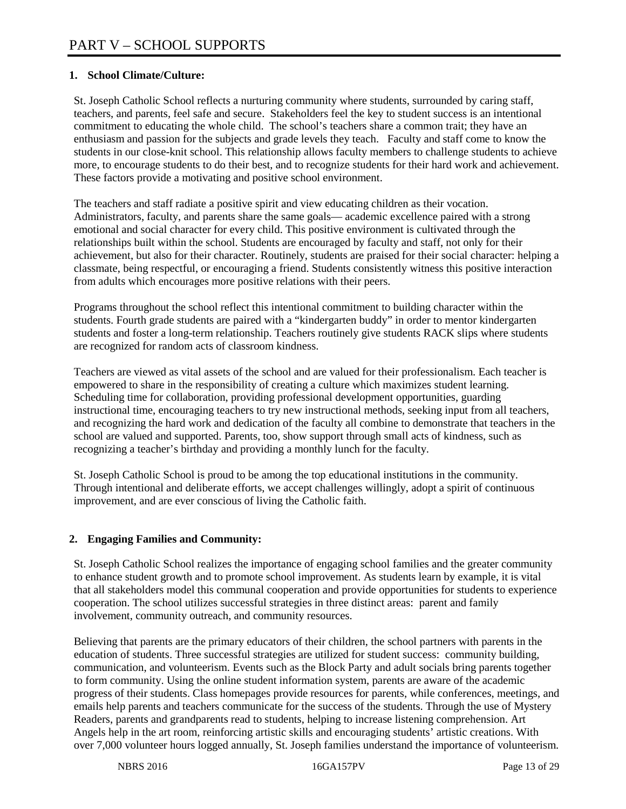## **1. School Climate/Culture:**

St. Joseph Catholic School reflects a nurturing community where students, surrounded by caring staff, teachers, and parents, feel safe and secure. Stakeholders feel the key to student success is an intentional commitment to educating the whole child. The school's teachers share a common trait; they have an enthusiasm and passion for the subjects and grade levels they teach. Faculty and staff come to know the students in our close-knit school. This relationship allows faculty members to challenge students to achieve more, to encourage students to do their best, and to recognize students for their hard work and achievement. These factors provide a motivating and positive school environment.

The teachers and staff radiate a positive spirit and view educating children as their vocation. Administrators, faculty, and parents share the same goals— academic excellence paired with a strong emotional and social character for every child. This positive environment is cultivated through the relationships built within the school. Students are encouraged by faculty and staff, not only for their achievement, but also for their character. Routinely, students are praised for their social character: helping a classmate, being respectful, or encouraging a friend. Students consistently witness this positive interaction from adults which encourages more positive relations with their peers.

Programs throughout the school reflect this intentional commitment to building character within the students. Fourth grade students are paired with a "kindergarten buddy" in order to mentor kindergarten students and foster a long-term relationship. Teachers routinely give students RACK slips where students are recognized for random acts of classroom kindness.

Teachers are viewed as vital assets of the school and are valued for their professionalism. Each teacher is empowered to share in the responsibility of creating a culture which maximizes student learning. Scheduling time for collaboration, providing professional development opportunities, guarding instructional time, encouraging teachers to try new instructional methods, seeking input from all teachers, and recognizing the hard work and dedication of the faculty all combine to demonstrate that teachers in the school are valued and supported. Parents, too, show support through small acts of kindness, such as recognizing a teacher's birthday and providing a monthly lunch for the faculty.

St. Joseph Catholic School is proud to be among the top educational institutions in the community. Through intentional and deliberate efforts, we accept challenges willingly, adopt a spirit of continuous improvement, and are ever conscious of living the Catholic faith.

## **2. Engaging Families and Community:**

St. Joseph Catholic School realizes the importance of engaging school families and the greater community to enhance student growth and to promote school improvement. As students learn by example, it is vital that all stakeholders model this communal cooperation and provide opportunities for students to experience cooperation. The school utilizes successful strategies in three distinct areas: parent and family involvement, community outreach, and community resources.

Believing that parents are the primary educators of their children, the school partners with parents in the education of students. Three successful strategies are utilized for student success: community building, communication, and volunteerism. Events such as the Block Party and adult socials bring parents together to form community. Using the online student information system, parents are aware of the academic progress of their students. Class homepages provide resources for parents, while conferences, meetings, and emails help parents and teachers communicate for the success of the students. Through the use of Mystery Readers, parents and grandparents read to students, helping to increase listening comprehension. Art Angels help in the art room, reinforcing artistic skills and encouraging students' artistic creations. With over 7,000 volunteer hours logged annually, St. Joseph families understand the importance of volunteerism.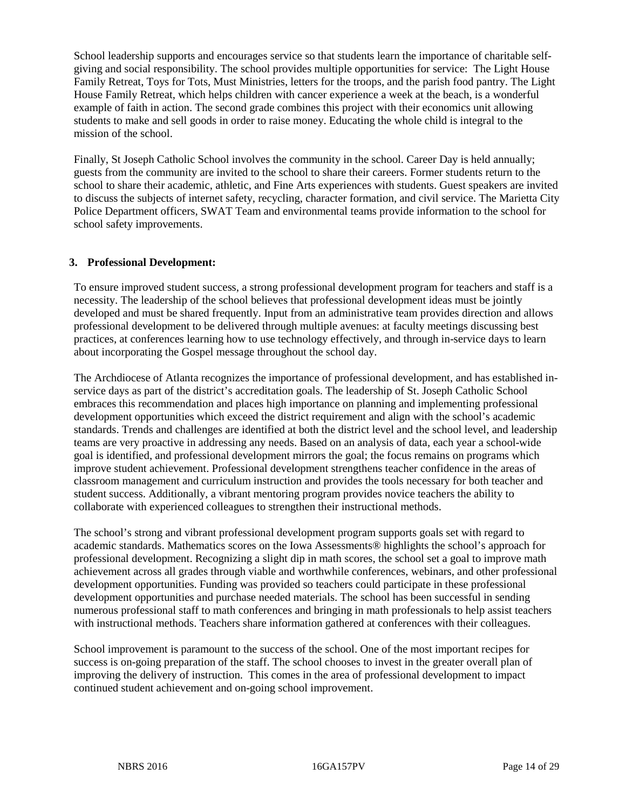School leadership supports and encourages service so that students learn the importance of charitable selfgiving and social responsibility. The school provides multiple opportunities for service: The Light House Family Retreat, Toys for Tots, Must Ministries, letters for the troops, and the parish food pantry. The Light House Family Retreat, which helps children with cancer experience a week at the beach, is a wonderful example of faith in action. The second grade combines this project with their economics unit allowing students to make and sell goods in order to raise money. Educating the whole child is integral to the mission of the school.

Finally, St Joseph Catholic School involves the community in the school. Career Day is held annually; guests from the community are invited to the school to share their careers. Former students return to the school to share their academic, athletic, and Fine Arts experiences with students. Guest speakers are invited to discuss the subjects of internet safety, recycling, character formation, and civil service. The Marietta City Police Department officers, SWAT Team and environmental teams provide information to the school for school safety improvements.

#### **3. Professional Development:**

To ensure improved student success, a strong professional development program for teachers and staff is a necessity. The leadership of the school believes that professional development ideas must be jointly developed and must be shared frequently. Input from an administrative team provides direction and allows professional development to be delivered through multiple avenues: at faculty meetings discussing best practices, at conferences learning how to use technology effectively, and through in-service days to learn about incorporating the Gospel message throughout the school day.

The Archdiocese of Atlanta recognizes the importance of professional development, and has established inservice days as part of the district's accreditation goals. The leadership of St. Joseph Catholic School embraces this recommendation and places high importance on planning and implementing professional development opportunities which exceed the district requirement and align with the school's academic standards. Trends and challenges are identified at both the district level and the school level, and leadership teams are very proactive in addressing any needs. Based on an analysis of data, each year a school-wide goal is identified, and professional development mirrors the goal; the focus remains on programs which improve student achievement. Professional development strengthens teacher confidence in the areas of classroom management and curriculum instruction and provides the tools necessary for both teacher and student success. Additionally, a vibrant mentoring program provides novice teachers the ability to collaborate with experienced colleagues to strengthen their instructional methods.

The school's strong and vibrant professional development program supports goals set with regard to academic standards. Mathematics scores on the Iowa Assessments® highlights the school's approach for professional development. Recognizing a slight dip in math scores, the school set a goal to improve math achievement across all grades through viable and worthwhile conferences, webinars, and other professional development opportunities. Funding was provided so teachers could participate in these professional development opportunities and purchase needed materials. The school has been successful in sending numerous professional staff to math conferences and bringing in math professionals to help assist teachers with instructional methods. Teachers share information gathered at conferences with their colleagues.

School improvement is paramount to the success of the school. One of the most important recipes for success is on-going preparation of the staff. The school chooses to invest in the greater overall plan of improving the delivery of instruction. This comes in the area of professional development to impact continued student achievement and on-going school improvement.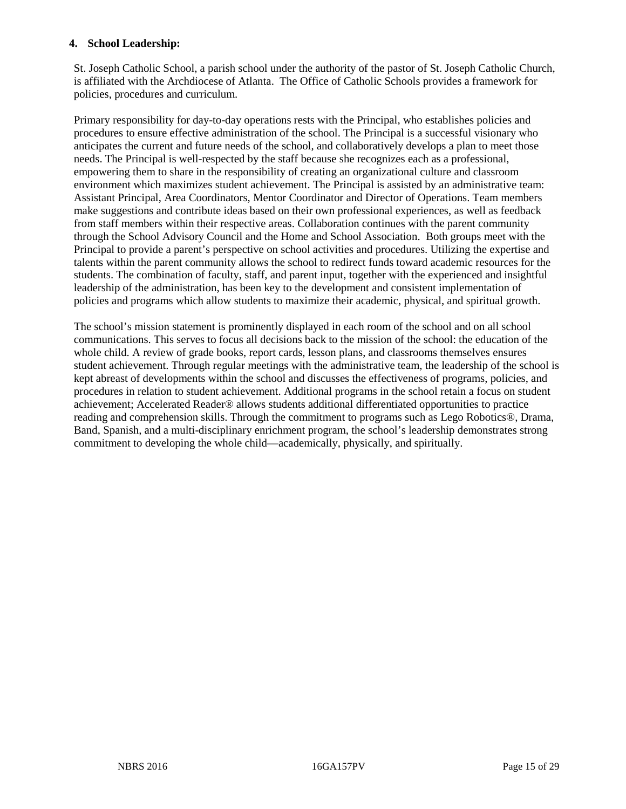#### **4. School Leadership:**

St. Joseph Catholic School, a parish school under the authority of the pastor of St. Joseph Catholic Church, is affiliated with the Archdiocese of Atlanta. The Office of Catholic Schools provides a framework for policies, procedures and curriculum.

Primary responsibility for day-to-day operations rests with the Principal, who establishes policies and procedures to ensure effective administration of the school. The Principal is a successful visionary who anticipates the current and future needs of the school, and collaboratively develops a plan to meet those needs. The Principal is well-respected by the staff because she recognizes each as a professional, empowering them to share in the responsibility of creating an organizational culture and classroom environment which maximizes student achievement. The Principal is assisted by an administrative team: Assistant Principal, Area Coordinators, Mentor Coordinator and Director of Operations. Team members make suggestions and contribute ideas based on their own professional experiences, as well as feedback from staff members within their respective areas. Collaboration continues with the parent community through the School Advisory Council and the Home and School Association. Both groups meet with the Principal to provide a parent's perspective on school activities and procedures. Utilizing the expertise and talents within the parent community allows the school to redirect funds toward academic resources for the students. The combination of faculty, staff, and parent input, together with the experienced and insightful leadership of the administration, has been key to the development and consistent implementation of policies and programs which allow students to maximize their academic, physical, and spiritual growth.

The school's mission statement is prominently displayed in each room of the school and on all school communications. This serves to focus all decisions back to the mission of the school: the education of the whole child. A review of grade books, report cards, lesson plans, and classrooms themselves ensures student achievement. Through regular meetings with the administrative team, the leadership of the school is kept abreast of developments within the school and discusses the effectiveness of programs, policies, and procedures in relation to student achievement. Additional programs in the school retain a focus on student achievement; Accelerated Reader® allows students additional differentiated opportunities to practice reading and comprehension skills. Through the commitment to programs such as Lego Robotics®, Drama, Band, Spanish, and a multi-disciplinary enrichment program, the school's leadership demonstrates strong commitment to developing the whole child—academically, physically, and spiritually.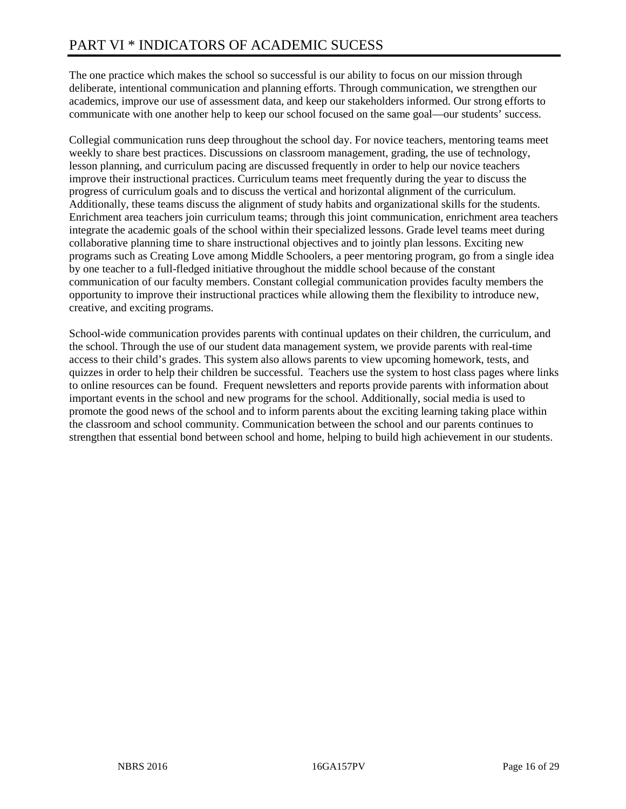The one practice which makes the school so successful is our ability to focus on our mission through deliberate, intentional communication and planning efforts. Through communication, we strengthen our academics, improve our use of assessment data, and keep our stakeholders informed. Our strong efforts to communicate with one another help to keep our school focused on the same goal—our students' success.

Collegial communication runs deep throughout the school day. For novice teachers, mentoring teams meet weekly to share best practices. Discussions on classroom management, grading, the use of technology, lesson planning, and curriculum pacing are discussed frequently in order to help our novice teachers improve their instructional practices. Curriculum teams meet frequently during the year to discuss the progress of curriculum goals and to discuss the vertical and horizontal alignment of the curriculum. Additionally, these teams discuss the alignment of study habits and organizational skills for the students. Enrichment area teachers join curriculum teams; through this joint communication, enrichment area teachers integrate the academic goals of the school within their specialized lessons. Grade level teams meet during collaborative planning time to share instructional objectives and to jointly plan lessons. Exciting new programs such as Creating Love among Middle Schoolers, a peer mentoring program, go from a single idea by one teacher to a full-fledged initiative throughout the middle school because of the constant communication of our faculty members. Constant collegial communication provides faculty members the opportunity to improve their instructional practices while allowing them the flexibility to introduce new, creative, and exciting programs.

School-wide communication provides parents with continual updates on their children, the curriculum, and the school. Through the use of our student data management system, we provide parents with real-time access to their child's grades. This system also allows parents to view upcoming homework, tests, and quizzes in order to help their children be successful. Teachers use the system to host class pages where links to online resources can be found. Frequent newsletters and reports provide parents with information about important events in the school and new programs for the school. Additionally, social media is used to promote the good news of the school and to inform parents about the exciting learning taking place within the classroom and school community. Communication between the school and our parents continues to strengthen that essential bond between school and home, helping to build high achievement in our students.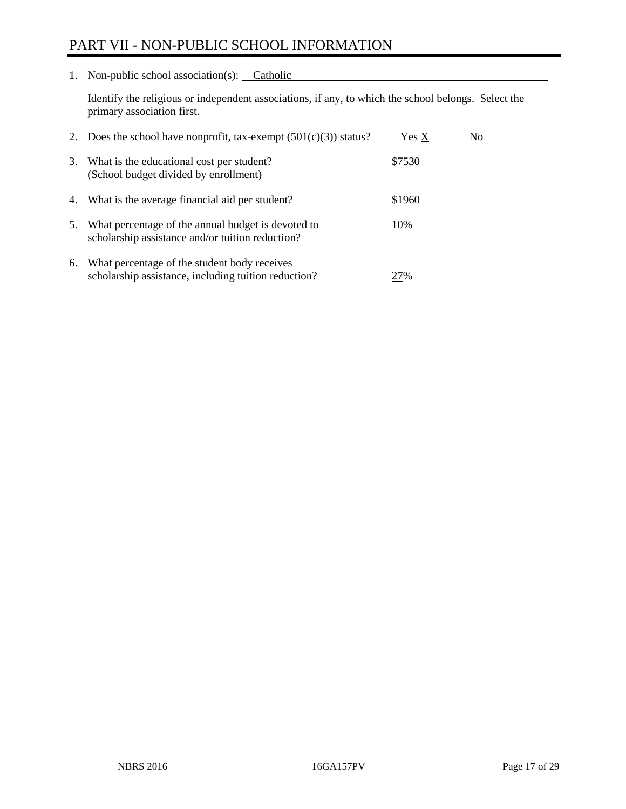# PART VII - NON-PUBLIC SCHOOL INFORMATION

1. Non-public school association(s): Catholic

Identify the religious or independent associations, if any, to which the school belongs. Select the primary association first.

| 2. | Does the school have nonprofit, tax-exempt $(501(c)(3))$ status?                                       | Yes X  | No. |
|----|--------------------------------------------------------------------------------------------------------|--------|-----|
| 3. | What is the educational cost per student?<br>(School budget divided by enrollment)                     | \$7530 |     |
| 4. | What is the average financial aid per student?                                                         | \$1960 |     |
| 5. | What percentage of the annual budget is devoted to<br>scholarship assistance and/or tuition reduction? | 10%    |     |
| 6. | What percentage of the student body receives<br>scholarship assistance, including tuition reduction?   | 27%    |     |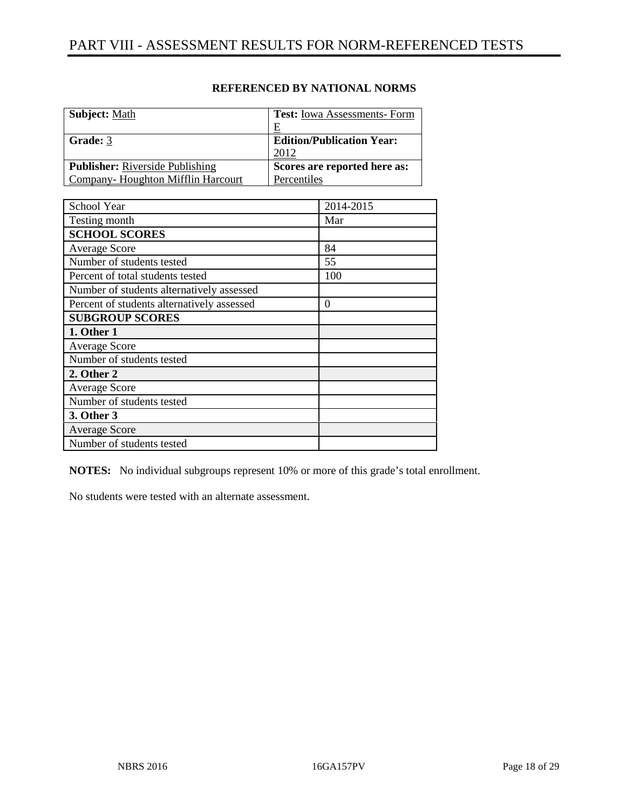| <b>Subject: Math</b>                   | <b>Test:</b> Iowa Assessments-Form |
|----------------------------------------|------------------------------------|
|                                        | E                                  |
| Grade: 3                               | <b>Edition/Publication Year:</b>   |
|                                        | 2012                               |
| <b>Publisher:</b> Riverside Publishing | Scores are reported here as:       |
| Company-Houghton Mifflin Harcourt      | Percentiles                        |

| School Year                                | 2014-2015 |
|--------------------------------------------|-----------|
| Testing month                              | Mar       |
| <b>SCHOOL SCORES</b>                       |           |
| <b>Average Score</b>                       | 84        |
| Number of students tested                  | 55        |
| Percent of total students tested           | 100       |
| Number of students alternatively assessed  |           |
| Percent of students alternatively assessed | $\Omega$  |
| <b>SUBGROUP SCORES</b>                     |           |
| 1. Other 1                                 |           |
| <b>Average Score</b>                       |           |
| Number of students tested                  |           |
| 2. Other 2                                 |           |
| <b>Average Score</b>                       |           |
| Number of students tested                  |           |
| 3. Other 3                                 |           |
| <b>Average Score</b>                       |           |
| Number of students tested                  |           |

**NOTES:** No individual subgroups represent 10% or more of this grade's total enrollment.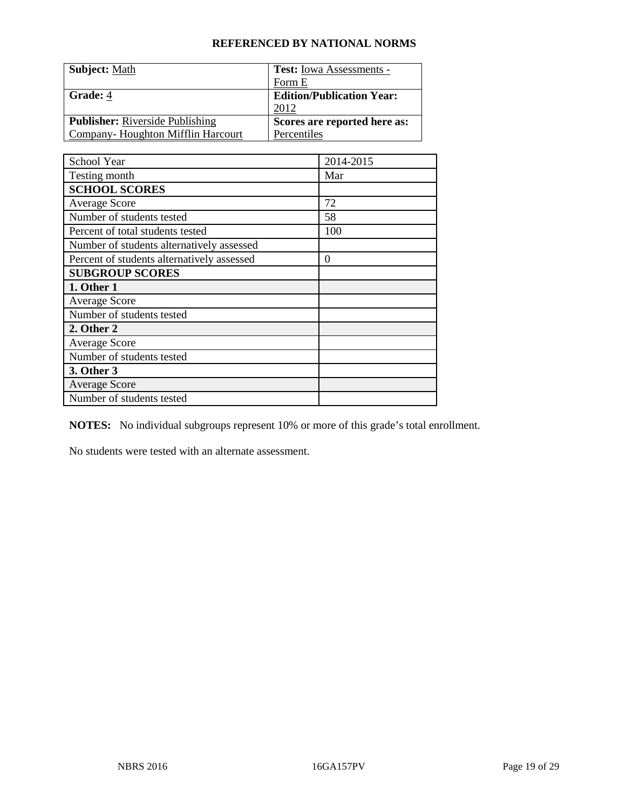| <b>Subject:</b> Math                   | <b>Test:</b> Iowa Assessments -  |
|----------------------------------------|----------------------------------|
|                                        | Form E                           |
| Grade: 4                               | <b>Edition/Publication Year:</b> |
|                                        | 2012                             |
| <b>Publisher:</b> Riverside Publishing | Scores are reported here as:     |
| Company-Houghton Mifflin Harcourt      | Percentiles                      |

| School Year                                | 2014-2015        |
|--------------------------------------------|------------------|
| Testing month                              | Mar              |
| <b>SCHOOL SCORES</b>                       |                  |
| <b>Average Score</b>                       | 72               |
| Number of students tested                  | 58               |
| Percent of total students tested           | 100              |
| Number of students alternatively assessed  |                  |
| Percent of students alternatively assessed | $\boldsymbol{0}$ |
| <b>SUBGROUP SCORES</b>                     |                  |
| 1. Other 1                                 |                  |
| <b>Average Score</b>                       |                  |
| Number of students tested                  |                  |
| 2. Other 2                                 |                  |
| <b>Average Score</b>                       |                  |
| Number of students tested                  |                  |
| 3. Other 3                                 |                  |
| <b>Average Score</b>                       |                  |
| Number of students tested                  |                  |

**NOTES:** No individual subgroups represent 10% or more of this grade's total enrollment.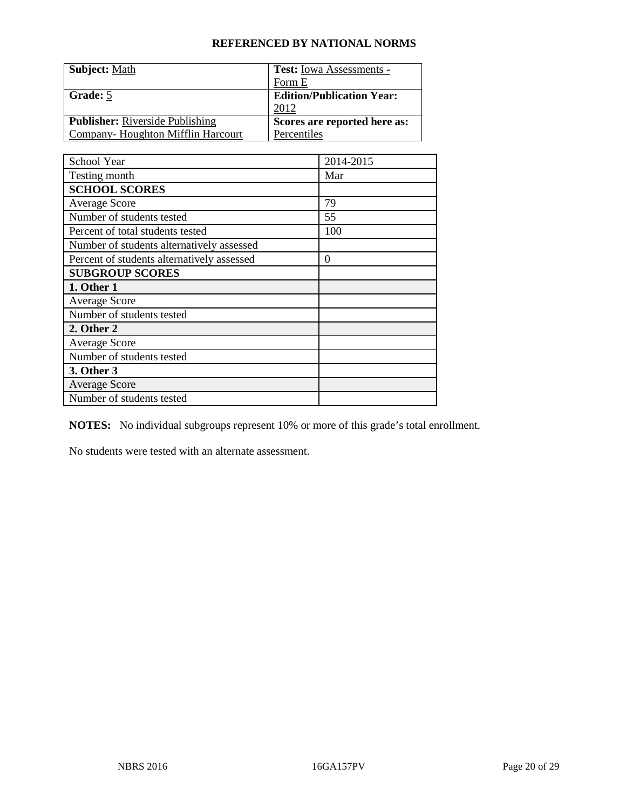| <b>Subject: Math</b>                   | <b>Test:</b> Iowa Assessments -  |
|----------------------------------------|----------------------------------|
|                                        | Form E                           |
| Grade: 5                               | <b>Edition/Publication Year:</b> |
|                                        | 2012                             |
| <b>Publisher:</b> Riverside Publishing | Scores are reported here as:     |
| Company-Houghton Mifflin Harcourt      | Percentiles                      |

| School Year                                | 2014-2015 |
|--------------------------------------------|-----------|
| Testing month                              | Mar       |
| <b>SCHOOL SCORES</b>                       |           |
| <b>Average Score</b>                       | 79        |
| Number of students tested                  | 55        |
| Percent of total students tested           | 100       |
| Number of students alternatively assessed  |           |
| Percent of students alternatively assessed | 0         |
| <b>SUBGROUP SCORES</b>                     |           |
| 1. Other 1                                 |           |
| <b>Average Score</b>                       |           |
| Number of students tested                  |           |
| 2. Other 2                                 |           |
| <b>Average Score</b>                       |           |
| Number of students tested                  |           |
| 3. Other 3                                 |           |
| <b>Average Score</b>                       |           |
| Number of students tested                  |           |

**NOTES:** No individual subgroups represent 10% or more of this grade's total enrollment.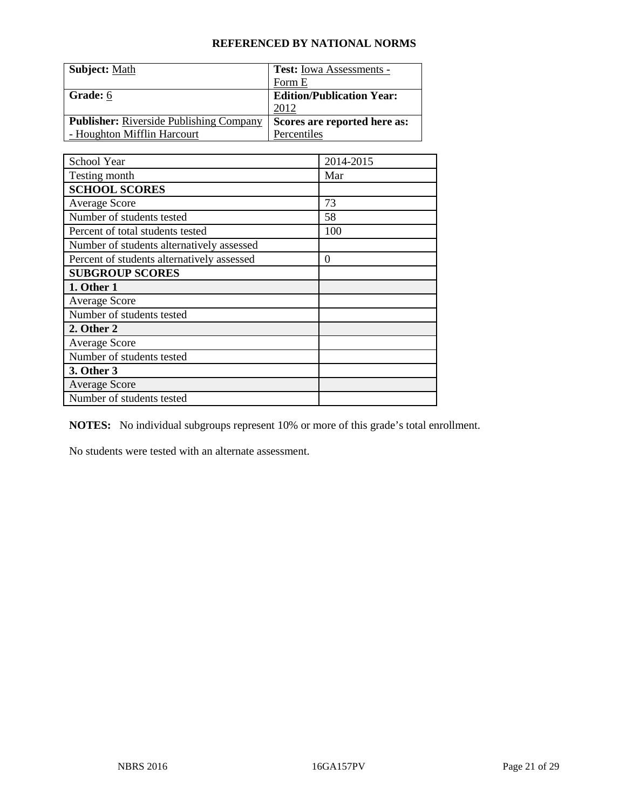| <b>Subject: Math</b>                           | <b>Test:</b> Iowa Assessments -  |
|------------------------------------------------|----------------------------------|
|                                                | Form E                           |
| Grade: 6                                       | <b>Edition/Publication Year:</b> |
|                                                | 2012                             |
| <b>Publisher:</b> Riverside Publishing Company | Scores are reported here as:     |
| - Houghton Mifflin Harcourt                    | Percentiles                      |

| School Year                                | 2014-2015 |
|--------------------------------------------|-----------|
| Testing month                              | Mar       |
| <b>SCHOOL SCORES</b>                       |           |
| <b>Average Score</b>                       | 73        |
| Number of students tested                  | 58        |
| Percent of total students tested           | 100       |
| Number of students alternatively assessed  |           |
| Percent of students alternatively assessed | 0         |
| <b>SUBGROUP SCORES</b>                     |           |
| 1. Other 1                                 |           |
| <b>Average Score</b>                       |           |
| Number of students tested                  |           |
| 2. Other 2                                 |           |
| <b>Average Score</b>                       |           |
| Number of students tested                  |           |
| 3. Other 3                                 |           |
| <b>Average Score</b>                       |           |
| Number of students tested                  |           |

**NOTES:** No individual subgroups represent 10% or more of this grade's total enrollment.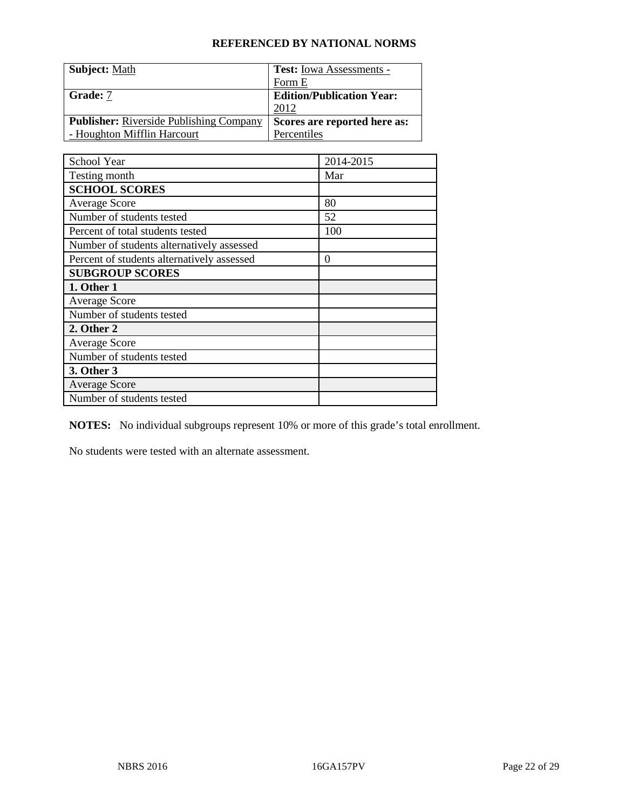| <b>Subject: Math</b>                           | <b>Test:</b> Iowa Assessments -  |
|------------------------------------------------|----------------------------------|
|                                                | Form E                           |
| Grade: 7                                       | <b>Edition/Publication Year:</b> |
|                                                | 2012                             |
| <b>Publisher:</b> Riverside Publishing Company | Scores are reported here as:     |
| - Houghton Mifflin Harcourt                    | Percentiles                      |

| School Year                                | 2014-2015 |
|--------------------------------------------|-----------|
| Testing month                              | Mar       |
| <b>SCHOOL SCORES</b>                       |           |
| <b>Average Score</b>                       | 80        |
| Number of students tested                  | 52        |
| Percent of total students tested           | 100       |
| Number of students alternatively assessed  |           |
| Percent of students alternatively assessed | 0         |
| <b>SUBGROUP SCORES</b>                     |           |
| 1. Other 1                                 |           |
| <b>Average Score</b>                       |           |
| Number of students tested                  |           |
| 2. Other 2                                 |           |
| <b>Average Score</b>                       |           |
| Number of students tested                  |           |
| 3. Other 3                                 |           |
| <b>Average Score</b>                       |           |
| Number of students tested                  |           |

**NOTES:** No individual subgroups represent 10% or more of this grade's total enrollment.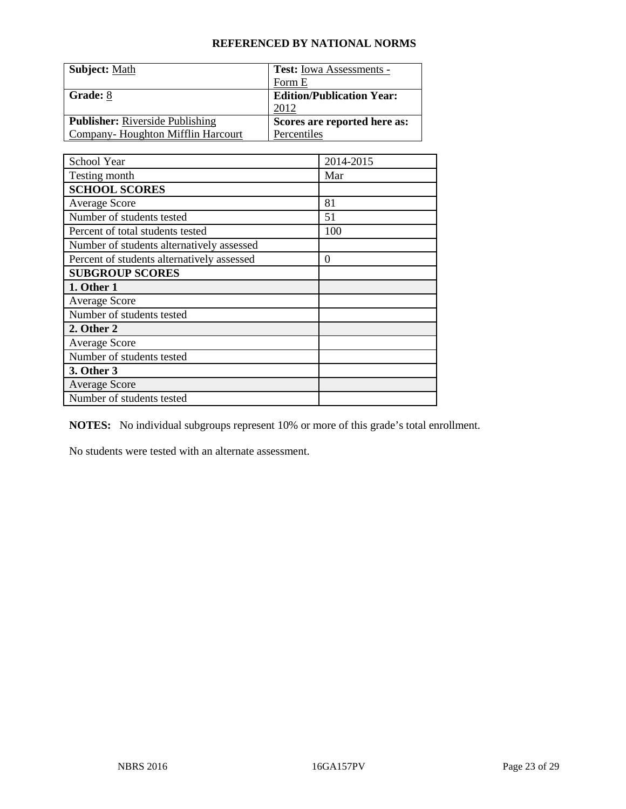| <b>Subject: Math</b>                   | <b>Test:</b> Iowa Assessments -  |
|----------------------------------------|----------------------------------|
|                                        | Form E                           |
| Grade: 8                               | <b>Edition/Publication Year:</b> |
|                                        | 2012                             |
| <b>Publisher:</b> Riverside Publishing | Scores are reported here as:     |
| Company-Houghton Mifflin Harcourt      | Percentiles                      |

| School Year                                | 2014-2015 |
|--------------------------------------------|-----------|
| Testing month                              | Mar       |
| <b>SCHOOL SCORES</b>                       |           |
| <b>Average Score</b>                       | 81        |
| Number of students tested                  | 51        |
| Percent of total students tested           | 100       |
| Number of students alternatively assessed  |           |
| Percent of students alternatively assessed | 0         |
| <b>SUBGROUP SCORES</b>                     |           |
| 1. Other 1                                 |           |
| <b>Average Score</b>                       |           |
| Number of students tested                  |           |
| 2. Other 2                                 |           |
| <b>Average Score</b>                       |           |
| Number of students tested                  |           |
| 3. Other 3                                 |           |
| <b>Average Score</b>                       |           |
| Number of students tested                  |           |

**NOTES:** No individual subgroups represent 10% or more of this grade's total enrollment.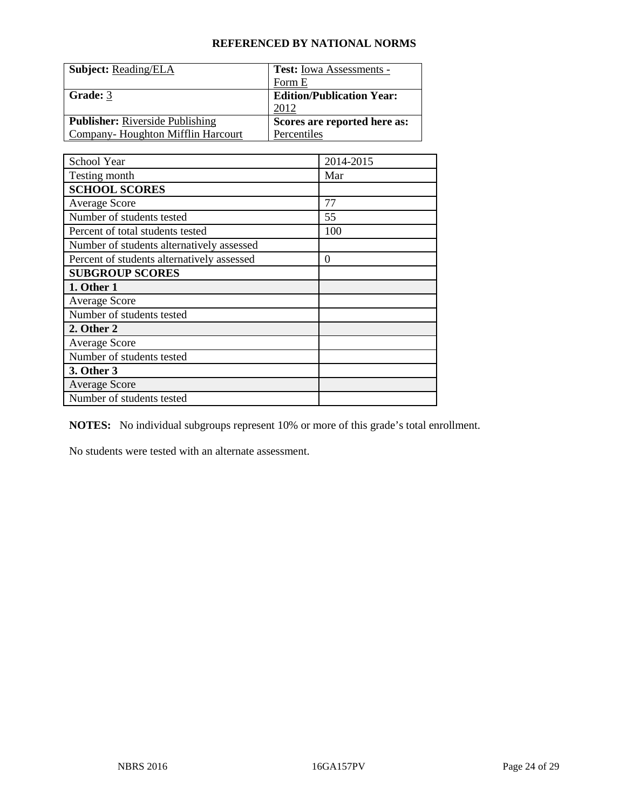| <b>Subject: Reading/ELA</b>            | <b>Test:</b> Iowa Assessments -  |
|----------------------------------------|----------------------------------|
|                                        | Form E                           |
| Grade: 3                               | <b>Edition/Publication Year:</b> |
|                                        | 2012                             |
| <b>Publisher:</b> Riverside Publishing | Scores are reported here as:     |
| Company-Houghton Mifflin Harcourt      | Percentiles                      |

| School Year                                | 2014-2015        |
|--------------------------------------------|------------------|
| Testing month                              | Mar              |
| <b>SCHOOL SCORES</b>                       |                  |
| <b>Average Score</b>                       | 77               |
| Number of students tested                  | 55               |
| Percent of total students tested           | 100              |
| Number of students alternatively assessed  |                  |
| Percent of students alternatively assessed | $\boldsymbol{0}$ |
| <b>SUBGROUP SCORES</b>                     |                  |
| 1. Other 1                                 |                  |
| <b>Average Score</b>                       |                  |
| Number of students tested                  |                  |
| 2. Other 2                                 |                  |
| <b>Average Score</b>                       |                  |
| Number of students tested                  |                  |
| 3. Other 3                                 |                  |
| <b>Average Score</b>                       |                  |
| Number of students tested                  |                  |

**NOTES:** No individual subgroups represent 10% or more of this grade's total enrollment.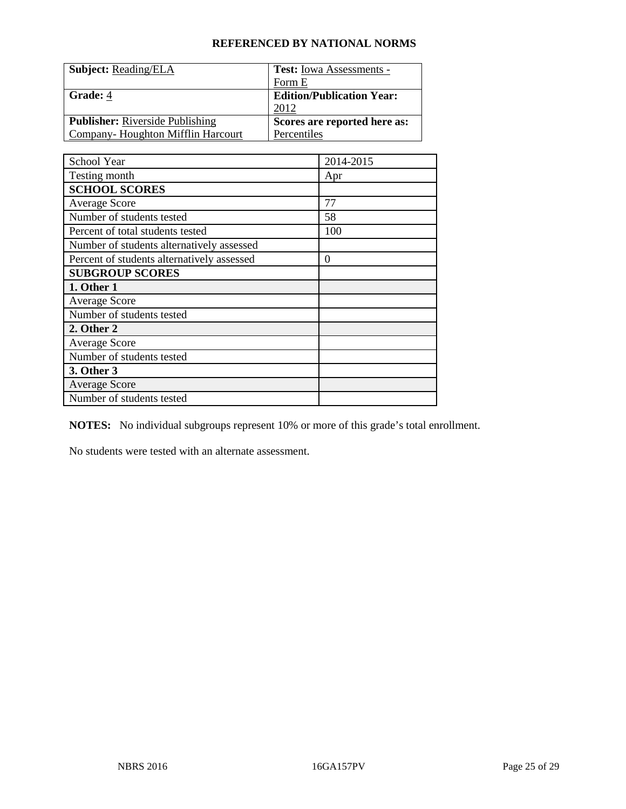| <b>Subject: Reading/ELA</b>            | <b>Test:</b> Iowa Assessments -  |
|----------------------------------------|----------------------------------|
|                                        | Form E                           |
| <b>Grade: 4</b>                        | <b>Edition/Publication Year:</b> |
|                                        | 2012                             |
| <b>Publisher:</b> Riverside Publishing | Scores are reported here as:     |
| Company-Houghton Mifflin Harcourt      | Percentiles                      |

| School Year                                | 2014-2015        |
|--------------------------------------------|------------------|
| Testing month                              | Apr              |
| <b>SCHOOL SCORES</b>                       |                  |
| <b>Average Score</b>                       | 77               |
| Number of students tested                  | 58               |
| Percent of total students tested           | 100              |
| Number of students alternatively assessed  |                  |
| Percent of students alternatively assessed | $\boldsymbol{0}$ |
| <b>SUBGROUP SCORES</b>                     |                  |
| 1. Other 1                                 |                  |
| <b>Average Score</b>                       |                  |
| Number of students tested                  |                  |
| 2. Other 2                                 |                  |
| <b>Average Score</b>                       |                  |
| Number of students tested                  |                  |
| 3. Other 3                                 |                  |
| <b>Average Score</b>                       |                  |
| Number of students tested                  |                  |

**NOTES:** No individual subgroups represent 10% or more of this grade's total enrollment.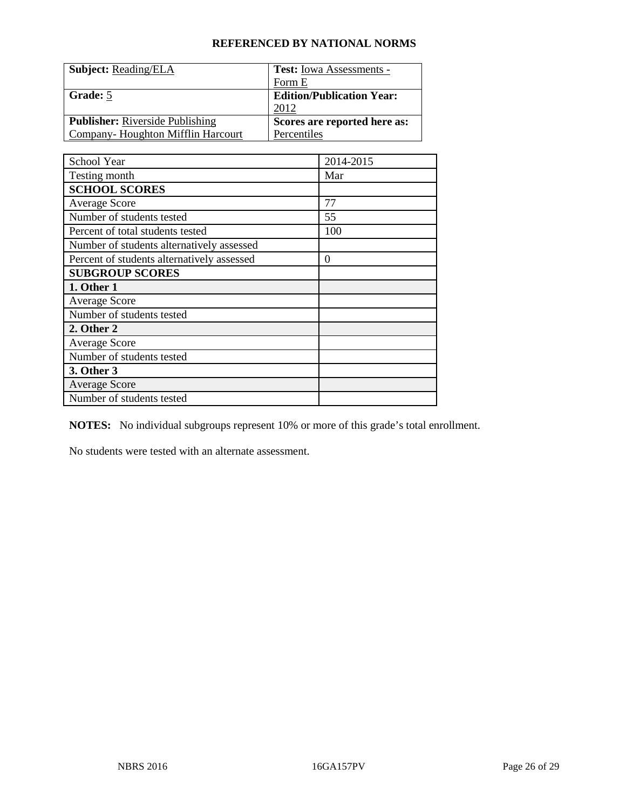| <b>Subject: Reading/ELA</b>            | <b>Test:</b> Iowa Assessments -  |
|----------------------------------------|----------------------------------|
|                                        | Form E                           |
| Grade: 5                               | <b>Edition/Publication Year:</b> |
|                                        | 2012                             |
| <b>Publisher:</b> Riverside Publishing | Scores are reported here as:     |
| Company-Houghton Mifflin Harcourt      | Percentiles                      |

| School Year                                | 2014-2015        |
|--------------------------------------------|------------------|
| Testing month                              | Mar              |
| <b>SCHOOL SCORES</b>                       |                  |
| <b>Average Score</b>                       | 77               |
| Number of students tested                  | 55               |
| Percent of total students tested           | 100              |
| Number of students alternatively assessed  |                  |
| Percent of students alternatively assessed | $\boldsymbol{0}$ |
| <b>SUBGROUP SCORES</b>                     |                  |
| 1. Other 1                                 |                  |
| <b>Average Score</b>                       |                  |
| Number of students tested                  |                  |
| 2. Other 2                                 |                  |
| <b>Average Score</b>                       |                  |
| Number of students tested                  |                  |
| 3. Other 3                                 |                  |
| <b>Average Score</b>                       |                  |
| Number of students tested                  |                  |

**NOTES:** No individual subgroups represent 10% or more of this grade's total enrollment.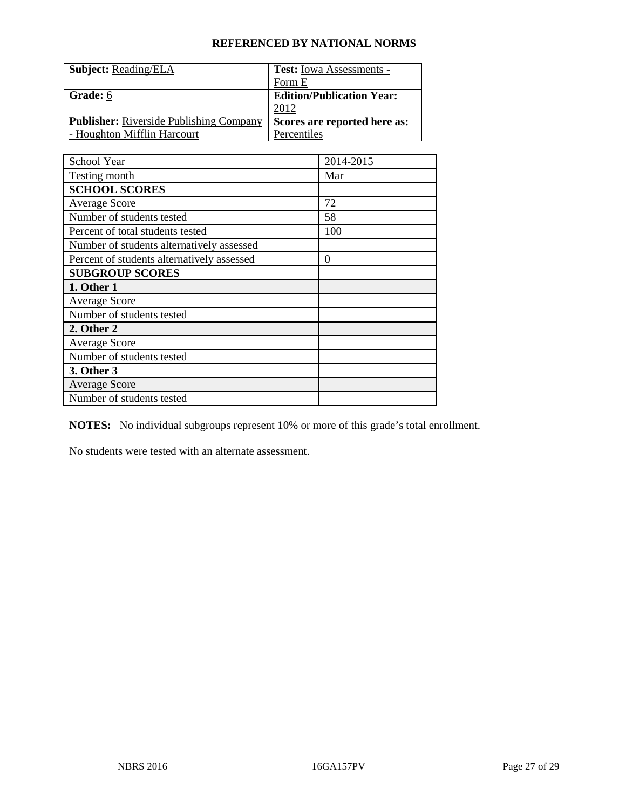| <b>Subject: Reading/ELA</b>                    | <b>Test:</b> Iowa Assessments -  |
|------------------------------------------------|----------------------------------|
|                                                | Form E                           |
| Grade: 6                                       | <b>Edition/Publication Year:</b> |
|                                                | 2012                             |
| <b>Publisher:</b> Riverside Publishing Company | Scores are reported here as:     |
| - Houghton Mifflin Harcourt                    | Percentiles                      |

| School Year                                | 2014-2015 |
|--------------------------------------------|-----------|
| Testing month                              | Mar       |
| <b>SCHOOL SCORES</b>                       |           |
| <b>Average Score</b>                       | 72        |
| Number of students tested                  | 58        |
| Percent of total students tested           | 100       |
| Number of students alternatively assessed  |           |
| Percent of students alternatively assessed | $\theta$  |
| <b>SUBGROUP SCORES</b>                     |           |
| 1. Other 1                                 |           |
| <b>Average Score</b>                       |           |
| Number of students tested                  |           |
| 2. Other 2                                 |           |
| <b>Average Score</b>                       |           |
| Number of students tested                  |           |
| 3. Other 3                                 |           |
| <b>Average Score</b>                       |           |
| Number of students tested                  |           |

**NOTES:** No individual subgroups represent 10% or more of this grade's total enrollment.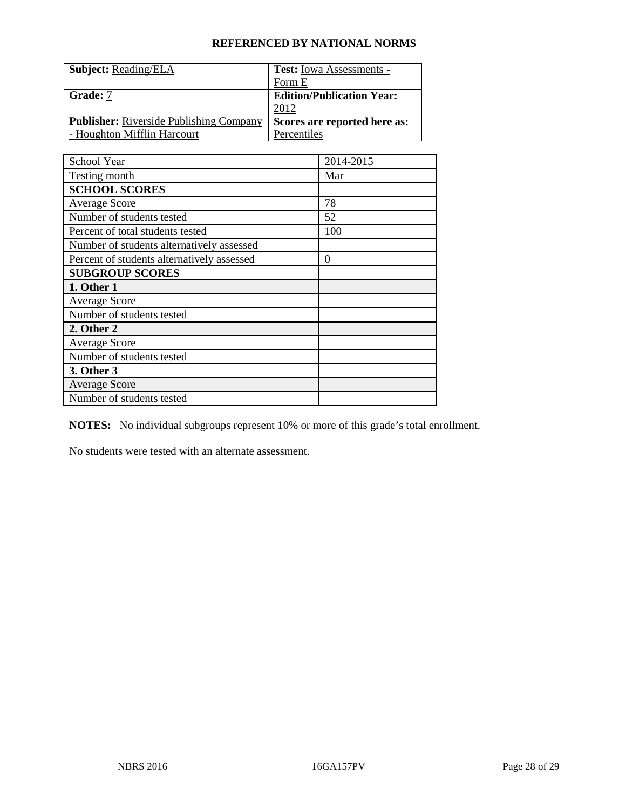| <b>Subject: Reading/ELA</b>                    | <b>Test:</b> Iowa Assessments -  |
|------------------------------------------------|----------------------------------|
|                                                | Form E                           |
| <b>Grade:</b> 7                                | <b>Edition/Publication Year:</b> |
|                                                | 2012                             |
| <b>Publisher:</b> Riverside Publishing Company | Scores are reported here as:     |
| - Houghton Mifflin Harcourt                    | Percentiles                      |

| School Year                                | 2014-2015 |
|--------------------------------------------|-----------|
| Testing month                              | Mar       |
| <b>SCHOOL SCORES</b>                       |           |
| <b>Average Score</b>                       | 78        |
| Number of students tested                  | 52        |
| Percent of total students tested           | 100       |
| Number of students alternatively assessed  |           |
| Percent of students alternatively assessed | 0         |
| <b>SUBGROUP SCORES</b>                     |           |
| 1. Other 1                                 |           |
| <b>Average Score</b>                       |           |
| Number of students tested                  |           |
| 2. Other 2                                 |           |
| <b>Average Score</b>                       |           |
| Number of students tested                  |           |
| 3. Other 3                                 |           |
| <b>Average Score</b>                       |           |
| Number of students tested                  |           |

**NOTES:** No individual subgroups represent 10% or more of this grade's total enrollment.